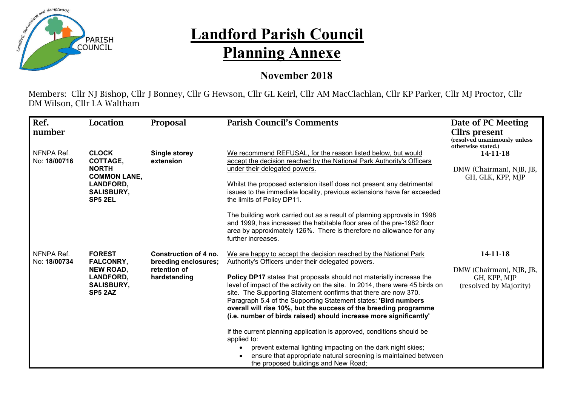

## **Landford Parish Council Planning Annexe**

## **November 2018**

Members: Cllr NJ Bishop, Cllr J Bonney, Cllr G Hewson, Cllr GL Keirl, Cllr AM MacClachlan, Cllr KP Parker, Cllr MJ Proctor, Cllr DM Wilson, Cllr LA Waltham

| Ref.<br>number             | Location                                                                                                                   | Proposal                                                                      | <b>Parish Council's Comments</b>                                                                                                                                                                                                                                                                                                                                                                                                    | Date of PC Meeting<br>Cllrs present<br>(resolved unanimously unless<br>otherwise stated.) |
|----------------------------|----------------------------------------------------------------------------------------------------------------------------|-------------------------------------------------------------------------------|-------------------------------------------------------------------------------------------------------------------------------------------------------------------------------------------------------------------------------------------------------------------------------------------------------------------------------------------------------------------------------------------------------------------------------------|-------------------------------------------------------------------------------------------|
| NFNPA Ref.<br>No: 18/00716 | <b>CLOCK</b><br><b>COTTAGE,</b><br><b>NORTH</b><br><b>COMMON LANE,</b><br>LANDFORD,<br><b>SALISBURY,</b><br><b>SP5 2EL</b> | <b>Single storey</b><br>extension                                             | We recommend REFUSAL, for the reason listed below, but would<br>accept the decision reached by the National Park Authority's Officers<br>under their delegated powers.                                                                                                                                                                                                                                                              | 14-11-18<br>DMW (Chairman), NJB, JB,<br>GH, GLK, KPP, MJP                                 |
|                            |                                                                                                                            |                                                                               | Whilst the proposed extension itself does not present any detrimental<br>issues to the immediate locality, previous extensions have far exceeded<br>the limits of Policy DP11.                                                                                                                                                                                                                                                      |                                                                                           |
|                            |                                                                                                                            |                                                                               | The building work carried out as a result of planning approvals in 1998<br>and 1999, has increased the habitable floor area of the pre-1982 floor<br>area by approximately 126%. There is therefore no allowance for any<br>further increases.                                                                                                                                                                                      |                                                                                           |
| NFNPA Ref.<br>No: 18/00734 | <b>FOREST</b><br><b>FALCONRY,</b><br><b>NEW ROAD,</b><br>LANDFORD,<br><b>SALISBURY,</b><br>SP5 2AZ                         | Construction of 4 no.<br>breeding enclosures;<br>retention of<br>hardstanding | We are happy to accept the decision reached by the National Park<br>Authority's Officers under their delegated powers.                                                                                                                                                                                                                                                                                                              | 14-11-18<br>DMW (Chairman), NJB, JB,<br>GH, KPP, MJP<br>(resolved by Majority)            |
|                            |                                                                                                                            |                                                                               | Policy DP17 states that proposals should not materially increase the<br>level of impact of the activity on the site. In 2014, there were 45 birds on<br>site. The Supporting Statement confirms that there are now 370.<br>Paragraph 5.4 of the Supporting Statement states: 'Bird numbers<br>overall will rise 10%, but the success of the breeding programme<br>(i.e. number of birds raised) should increase more significantly' |                                                                                           |
|                            |                                                                                                                            |                                                                               | If the current planning application is approved, conditions should be<br>applied to:                                                                                                                                                                                                                                                                                                                                                |                                                                                           |
|                            |                                                                                                                            |                                                                               | prevent external lighting impacting on the dark night skies;<br>ensure that appropriate natural screening is maintained between<br>the proposed buildings and New Road;                                                                                                                                                                                                                                                             |                                                                                           |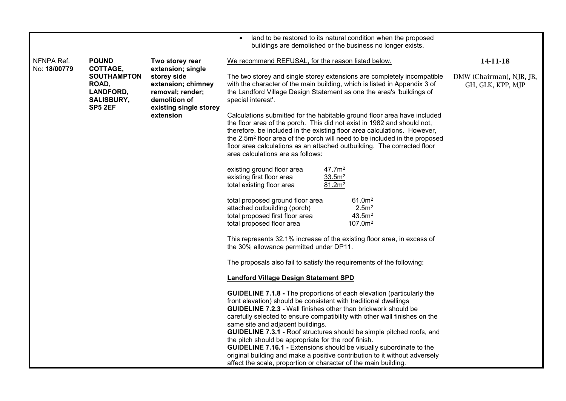|                            |                                                                                 |                                                                                                               | land to be restored to its natural condition when the proposed<br>buildings are demolished or the business no longer exists.                                                                                                                                                                                                                                                                                                                                                                                                                                                                                                                                                                                        |                                               |
|----------------------------|---------------------------------------------------------------------------------|---------------------------------------------------------------------------------------------------------------|---------------------------------------------------------------------------------------------------------------------------------------------------------------------------------------------------------------------------------------------------------------------------------------------------------------------------------------------------------------------------------------------------------------------------------------------------------------------------------------------------------------------------------------------------------------------------------------------------------------------------------------------------------------------------------------------------------------------|-----------------------------------------------|
| NFNPA Ref.<br>No: 18/00779 | <b>POUND</b><br>COTTAGE,                                                        | Two storey rear<br>extension; single                                                                          | We recommend REFUSAL, for the reason listed below.                                                                                                                                                                                                                                                                                                                                                                                                                                                                                                                                                                                                                                                                  | 14-11-18                                      |
|                            | <b>SOUTHAMPTON</b><br>ROAD,<br>LANDFORD,<br><b>SALISBURY,</b><br><b>SP5 2EF</b> | storey side<br>extension; chimney<br>removal; render;<br>demolition of<br>existing single storey<br>extension | The two storey and single storey extensions are completely incompatible<br>with the character of the main building, which is listed in Appendix 3 of<br>the Landford Village Design Statement as one the area's 'buildings of<br>special interest'.                                                                                                                                                                                                                                                                                                                                                                                                                                                                 | DMW (Chairman), NJB, JB,<br>GH, GLK, KPP, MJP |
|                            |                                                                                 |                                                                                                               | Calculations submitted for the habitable ground floor area have included<br>the floor area of the porch. This did not exist in 1982 and should not,<br>therefore, be included in the existing floor area calculations. However,<br>the 2.5m <sup>2</sup> floor area of the porch will need to be included in the proposed<br>floor area calculations as an attached outbuilding. The corrected floor<br>area calculations are as follows:                                                                                                                                                                                                                                                                           |                                               |
|                            |                                                                                 |                                                                                                               | 47.7m <sup>2</sup><br>existing ground floor area<br>existing first floor area<br>33.5m <sup>2</sup><br>total existing floor area<br>81.2m <sup>2</sup>                                                                                                                                                                                                                                                                                                                                                                                                                                                                                                                                                              |                                               |
|                            |                                                                                 |                                                                                                               | 61.0m <sup>2</sup><br>total proposed ground floor area<br>attached outbuilding (porch)<br>2.5 <sup>m²</sup><br>total proposed first floor area<br>43.5m <sup>2</sup><br>total proposed floor area<br>107.0m <sup>2</sup>                                                                                                                                                                                                                                                                                                                                                                                                                                                                                            |                                               |
|                            |                                                                                 |                                                                                                               | This represents 32.1% increase of the existing floor area, in excess of<br>the 30% allowance permitted under DP11.                                                                                                                                                                                                                                                                                                                                                                                                                                                                                                                                                                                                  |                                               |
|                            |                                                                                 |                                                                                                               | The proposals also fail to satisfy the requirements of the following:                                                                                                                                                                                                                                                                                                                                                                                                                                                                                                                                                                                                                                               |                                               |
|                            |                                                                                 |                                                                                                               | <b>Landford Village Design Statement SPD</b>                                                                                                                                                                                                                                                                                                                                                                                                                                                                                                                                                                                                                                                                        |                                               |
|                            |                                                                                 |                                                                                                               | <b>GUIDELINE 7.1.8 - The proportions of each elevation (particularly the</b><br>front elevation) should be consistent with traditional dwellings<br><b>GUIDELINE 7.2.3 - Wall finishes other than brickwork should be</b><br>carefully selected to ensure compatibility with other wall finishes on the<br>same site and adjacent buildings.<br><b>GUIDELINE 7.3.1 - Roof structures should be simple pitched roofs, and</b><br>the pitch should be appropriate for the roof finish.<br><b>GUIDELINE 7.16.1 - Extensions should be visually subordinate to the</b><br>original building and make a positive contribution to it without adversely<br>affect the scale, proportion or character of the main building. |                                               |